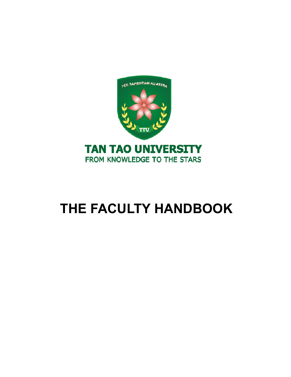

# **THE FACULTY HANDBOOK**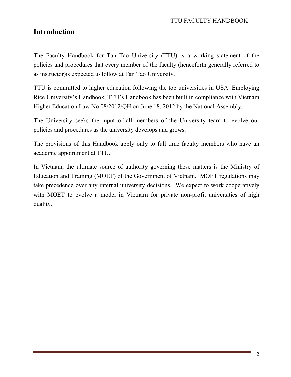# **Introduction**

The Faculty Handbook for Tan Tao University (TTU) is a working statement of the policies and procedures that every member of the faculty (henceforth generally referred to as instructor)is expected to follow at Tan Tao University.

TTU is committed to higher education following the top universities in USA. Employing Rice University's Handbook, TTU's Handbook has been built in compliance with Vietnam Higher Education Law No 08/2012/QH on June 18, 2012 by the National Assembly.

The University seeks the input of all members of the University team to evolve our policies and procedures as the university develops and grows.

The provisions of this Handbook apply only to full time faculty members who have an academic appointment at TTU.

In Vietnam, the ultimate source of authority governing these matters is the Ministry of Education and Training (MOET) of the Government of Vietnam. MOET regulations may take precedence over any internal university decisions. We expect to work cooperatively with MOET to evolve a model in Vietnam for private non-profit universities of high quality.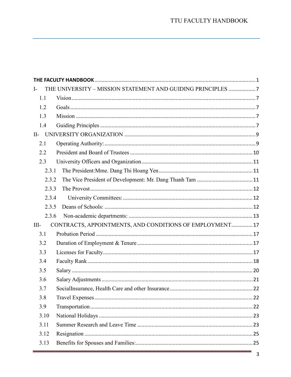| $\mathbf{I}$ |                                                          |  |  |  |
|--------------|----------------------------------------------------------|--|--|--|
| 1.1          |                                                          |  |  |  |
| 1.2          |                                                          |  |  |  |
| 1.3          |                                                          |  |  |  |
| 1.4          |                                                          |  |  |  |
| $II-$        |                                                          |  |  |  |
| 2.1          |                                                          |  |  |  |
| 2.2          |                                                          |  |  |  |
| 2.3          |                                                          |  |  |  |
| 2.3.1        |                                                          |  |  |  |
| 2.3.2        |                                                          |  |  |  |
| 2.3.3        |                                                          |  |  |  |
| 2.3.4        |                                                          |  |  |  |
| 2.3.5        |                                                          |  |  |  |
| 2.3.6        |                                                          |  |  |  |
| $III-$       | CONTRACTS, APPOINTMENTS, AND CONDITIONS OF EMPLOYMENT 17 |  |  |  |
| 3.1          |                                                          |  |  |  |
| 3.2          |                                                          |  |  |  |
| 3.3          |                                                          |  |  |  |
| 3.4          |                                                          |  |  |  |
| 3.5          |                                                          |  |  |  |
| 3.6          |                                                          |  |  |  |
| 3.7          |                                                          |  |  |  |
| 3.8          |                                                          |  |  |  |
| 3.9          |                                                          |  |  |  |
| 3.10         |                                                          |  |  |  |
| 3.11         |                                                          |  |  |  |
| 3.12         |                                                          |  |  |  |
| 3.13         |                                                          |  |  |  |
|              |                                                          |  |  |  |

ц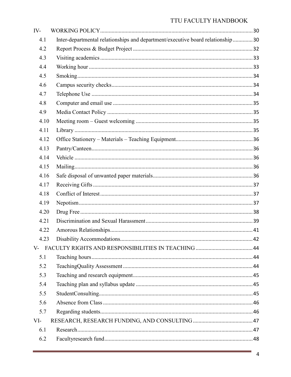| $IV-$ |                                                                                |  |
|-------|--------------------------------------------------------------------------------|--|
| 4.1   | Inter-departmental relationships and department/executive board relationship30 |  |
| 4.2   |                                                                                |  |
| 4.3   |                                                                                |  |
| 4.4   |                                                                                |  |
| 4.5   |                                                                                |  |
| 4.6   |                                                                                |  |
| 4.7   |                                                                                |  |
| 4.8   |                                                                                |  |
| 4.9   |                                                                                |  |
| 4.10  |                                                                                |  |
| 4.11  |                                                                                |  |
| 4.12  |                                                                                |  |
| 4.13  |                                                                                |  |
| 4.14  |                                                                                |  |
| 4.15  |                                                                                |  |
| 4.16  |                                                                                |  |
| 4.17  |                                                                                |  |
| 4.18  |                                                                                |  |
| 4.19  |                                                                                |  |
| 4.20  |                                                                                |  |
| 4.21  |                                                                                |  |
| 4.22  |                                                                                |  |
| 4.23  |                                                                                |  |
|       |                                                                                |  |
| 5.1   |                                                                                |  |
| 5.2   |                                                                                |  |
| 5.3   |                                                                                |  |
| 5.4   |                                                                                |  |
| 5.5   |                                                                                |  |
| 5.6   |                                                                                |  |
| 5.7   |                                                                                |  |
| VI-   |                                                                                |  |
| 6.1   |                                                                                |  |
| 6.2   |                                                                                |  |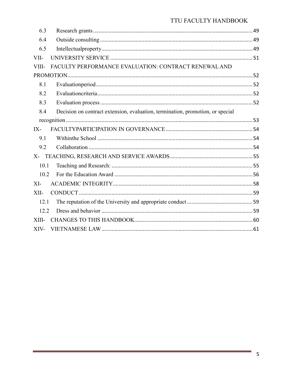| 6.3                                                           |                                                                                |  |  |  |
|---------------------------------------------------------------|--------------------------------------------------------------------------------|--|--|--|
| 6.4                                                           |                                                                                |  |  |  |
| 6.5                                                           |                                                                                |  |  |  |
| VII-                                                          |                                                                                |  |  |  |
| FACULTY PERFORMANCE EVALUATION: CONTRACT RENEWAL AND<br>VIII- |                                                                                |  |  |  |
|                                                               |                                                                                |  |  |  |
| 8.1                                                           |                                                                                |  |  |  |
| 8.2                                                           |                                                                                |  |  |  |
| 8.3                                                           |                                                                                |  |  |  |
| 8.4                                                           | Decision on contract extension, evaluation, termination, promotion, or special |  |  |  |
|                                                               |                                                                                |  |  |  |
| $IX -$                                                        |                                                                                |  |  |  |
| 9.1                                                           |                                                                                |  |  |  |
| 9.2                                                           |                                                                                |  |  |  |
| $X-$                                                          |                                                                                |  |  |  |
| 10.1                                                          |                                                                                |  |  |  |
| 10.2                                                          |                                                                                |  |  |  |
| $XI-$                                                         |                                                                                |  |  |  |
| XII-                                                          |                                                                                |  |  |  |
| 12.1                                                          |                                                                                |  |  |  |
| 12.2                                                          |                                                                                |  |  |  |
| XIII-                                                         |                                                                                |  |  |  |
| XIV-                                                          |                                                                                |  |  |  |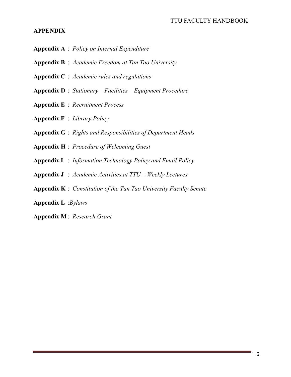#### **APPENDIX**

- **Appendix A** : *Policy on Internal Expenditure*
- **Appendix B** : *Academic Freedom at Tan Tao University*
- **Appendix C** : *Academic rules and regulations*
- **Appendix D** : *Stationary Facilities Equipment Procedure*
- **Appendix E** : *Recruitment Process*
- **Appendix F** : *Library Policy*
- **Appendix G** : *Rights and Responsibilities of Department Heads*
- **Appendix H** : *Procedure of Welcoming Guest*
- **Appendix I** : *Information Technology Policy and Email Policy*
- **Appendix J** : *Academic Activities at TTU Weekly Lectures*
- **Appendix K** : *Constitution of the Tan Tao University Faculty Senate*
- **Appendix L** :*Bylaws*
- **Appendix M** : *Research Grant*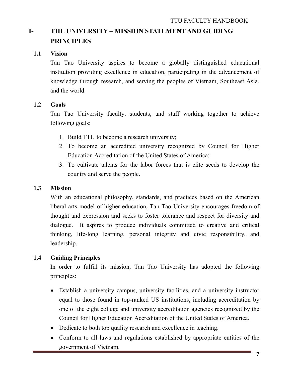# **I- THE UNIVERSITY – MISSION STATEMENT AND GUIDING PRINCIPLES**

## **1.1 Vision**

Tan Tao University aspires to become a globally distinguished educational institution providing excellence in education, participating in the advancement of knowledge through research, and serving the peoples of Vietnam, Southeast Asia, and the world.

## **1.2 Goals**

Tan Tao University faculty, students, and staff working together to achieve following goals:

- 1. Build TTU to become a research university;
- 2. To become an accredited university recognized by Council for Higher Education Accreditation of the United States of America;
- 3. To cultivate talents for the labor forces that is elite seeds to develop the country and serve the people.

#### **1.3 Mission**

With an educational philosophy, standards, and practices based on the American liberal arts model of higher education, Tan Tao University encourages freedom of thought and expression and seeks to foster tolerance and respect for diversity and dialogue. It aspires to produce individuals committed to creative and critical thinking, life-long learning, personal integrity and civic responsibility, and leadership.

## **1.4 Guiding Principles**

In order to fulfill its mission, Tan Tao University has adopted the following principles:

- Establish a university campus, university facilities, and a university instructor equal to those found in top-ranked US institutions, including accreditation by one of the eight college and university accreditation agencies recognized by the Council for Higher Education Accreditation of the United States of America.
- Dedicate to both top quality research and excellence in teaching.
- Conform to all laws and regulations established by appropriate entities of the government of Vietnam.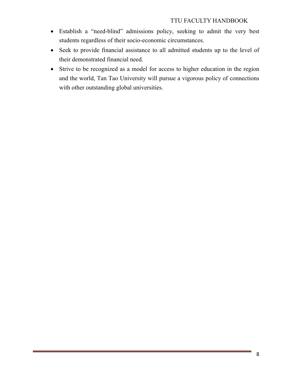- Establish a "need-blind" admissions policy, seeking to admit the very best students regardless of their socio-economic circumstances.
- Seek to provide financial assistance to all admitted students up to the level of their demonstrated financial need.
- Strive to be recognized as a model for access to higher education in the region and the world, Tan Tao University will pursue a vigorous policy of connections with other outstanding global universities.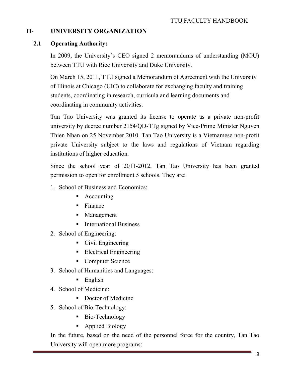# **II- UNIVERSITY ORGANIZATION**

#### **2.1 Operating Authority:**

In 2009, the University´s CEO signed 2 memorandums of understanding (MOU) between TTU with Rice University and Duke University.

On March 15, 2011, TTU signed a Memorandum of Agreement with the University of Illinois at Chicago (UIC) to collaborate for exchanging faculty and training students, coordinating in research, curricula and learning documents and coordinating in community activities.

Tan Tao University was granted its license to operate as a private non-profit university by decree number 2154/QD-TTg signed by Vice-Prime Minister Nguyen Thien Nhan on 25 November 2010. Tan Tao University is a Vietnamese non-profit private University subject to the laws and regulations of Vietnam regarding institutions of higher education.

Since the school year of 2011-2012, Tan Tao University has been granted permission to open for enrollment 5 schools. They are:

- 1. School of Business and Economics:
	- Accounting
	- $\blacksquare$  Finance
	- **Management**
	- **International Business**
- 2. School of Engineering:
	- Civil Engineering
	- **Electrical Engineering**
	- Computer Science
- 3. School of Humanities and Languages:
	- $\blacksquare$  English
- 4. School of Medicine:
	- Doctor of Medicine
- 5. School of Bio-Technology:
	- Bio-Technology
	- Applied Biology

In the future, based on the need of the personnel force for the country, Tan Tao University will open more programs: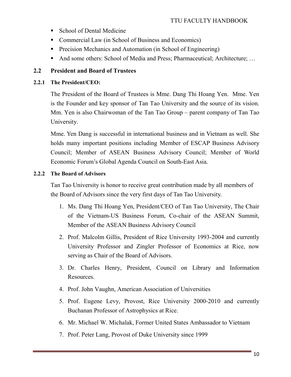- School of Dental Medicine
- Commercial Law (in School of Business and Economics)
- **Precision Mechanics and Automation (in School of Engineering)**
- And some others: School of Media and Press; Pharmaceutical; Architecture; ...

## **2.2 President and Board of Trustees**

#### **2.2.1 The President/CEO:**

The President of the Board of Trustees is Mme. Dang Thi Hoang Yen. Mme. Yen is the Founder and key sponsor of Tan Tao University and the source of its vision. Mm. Yen is also Chairwoman of the Tan Tao Group – parent company of Tan Tao University.

Mme. Yen Dang is successful in international business and in Vietnam as well. She holds many important positions including Member of ESCAP Business Advisory Council; Member of ASEAN Business Advisory Council; Member of World Economic Forum's Global Agenda Council on South-East Asia.

#### **2.2.2 The Board of Advisors**

Tan Tao University is honor to receive great contribution made by all members of the Board of Advisors since the very first days of Tan Tao University.

- 1. Ms. Dang Thi Hoang Yen, President/CEO of Tan Tao University, The Chair of the Vietnam-US Business Forum, Co-chair of the ASEAN Summit, Member of the ASEAN Business Advisory Council
- 2. Prof. Malcolm Gillis, President of Rice University 1993-2004 and currently University Professor and Zingler Professor of Economics at Rice, now serving as Chair of the Board of Advisors.
- 3. Dr. Charles Henry, President, Council on Library and Information Resources.
- 4. Prof. John Vaughn, American Association of Universities
- 5. Prof. Eugene Levy, Provost, Rice University 2000-2010 and currently Buchanan Professor of Astrophysics at Rice.
- 6. Mr. Michael W. Michalak, Former United States Ambassador to Vietnam
- 7. Prof. Peter Lang, Provost of Duke University since 1999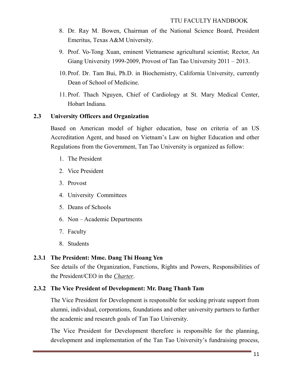- 8. Dr. Ray M. Bowen, Chairman of the National Science Board, President Emeritus, Texas A&M University.
- 9. Prof. Vo-Tong Xuan, eminent Vietnamese agricultural scientist; Rector, An Giang University 1999-2009, Provost of Tan Tao University 2011 – 2013.
- 10. Prof. Dr. Tam Bui, Ph.D. in Biochemistry, California University, currently Dean of School of Medicine.
- 11. Prof. Thach Nguyen, Chief of Cardiology at St. Mary Medical Center, Hobart Indiana.

#### **2.3 University Officers and Organization**

Based on American model of higher education, base on criteria of an US Accreditation Agent, and based on Vietnam's Law on higher Education and other Regulations from the Government, Tan Tao University is organized as follow:

- 1. The President
- 2. Vice President
- 3. Provost
- 4. University Committees
- 5. Deans of Schools
- 6. Non Academic Departments
- 7. Faculty
- 8. Students

## **2.3.1 The President: Mme. Dang Thi Hoang Yen**

See details of the Organization, Functions, Rights and Powers, Responsibilities of the President/CEO in the *Charter*.

#### **2.3.2 The Vice President of Development: Mr. Dang Thanh Tam**

The Vice President for Development is responsible for seeking private support from alumni, individual, corporations, foundations and other university partners to further the academic and research goals of Tan Tao University.

The Vice President for Development therefore is responsible for the planning, development and implementation of the Tan Tao University's fundraising process,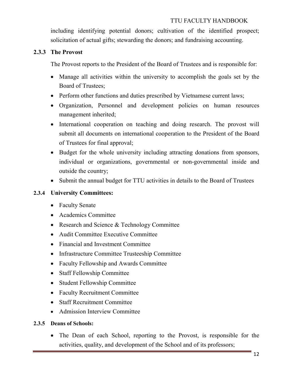including identifying potential donors; cultivation of the identified prospect; solicitation of actual gifts; stewarding the donors; and fundraising accounting.

#### **2.3.3 The Provost**

The Provost reports to the President of the Board of Trustees and is responsible for:

- Manage all activities within the university to accomplish the goals set by the Board of Trustees;
- Perform other functions and duties prescribed by Vietnamese current laws;
- Organization, Personnel and development policies on human resources management inherited;
- International cooperation on teaching and doing research. The provost will submit all documents on international cooperation to the President of the Board of Trustees for final approval;
- Budget for the whole university including attracting donations from sponsors, individual or organizations, governmental or non-governmental inside and outside the country;
- Submit the annual budget for TTU activities in details to the Board of Trustees

## **2.3.4 University Committees:**

- Faculty Senate
- Academics Committee
- Research and Science & Technology Committee
- Audit Committee Executive Committee
- Financial and Investment Committee
- Infrastructure Committee Trusteeship Committee
- Faculty Fellowship and Awards Committee
- Staff Fellowship Committee
- Student Fellowship Committee
- Faculty Recruitment Committee
- Staff Recruitment Committee
- Admission Interview Committee

## **2.3.5 Deans of Schools:**

• The Dean of each School, reporting to the Provost, is responsible for the activities, quality, and development of the School and of its professors;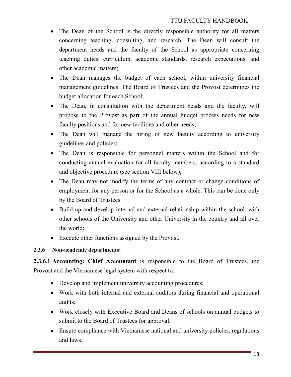- The Dean of the School is the directly responsible authority for all matters concerning teaching, consulting, and research. The Dean will consult the department heads and the faculty of the School as appropriate concerning teaching duties, curriculum, academic standards, research expectations, and other academic matters;
- The Dean manages the budget of each school, within university financial management guidelines. The Board of Trustees and the Provost determines the budget allocation for each School;
- The Dean, in consultation with the department heads and the faculty, will propose to the Provost as part of the annual budget process needs for new faculty positions and for new facilities and other needs;
- The Dean will manage the hiring of new faculty according to university guidelines and policies;
- The Dean is responsible for personnel matters within the School and for conducting annual evaluation for all faculty members, according to a standard and objective procedure (see section VIII below);
- The Dean may not modify the terms of any contract or change conditions of employment for any person or for the School as a whole. This can be done only by the Board of Trustees.
- Build up and develop internal and external relationship within the school, with other schools of the University and other University in the country and all over the world;
- Execute other functions assigned by the Provost.

## **2.3.6 Non-academic departments:**

**2.3.6.1 Accounting: Chief Accountant** is responsible to the Board of Trustees, the Provost and the Vietnamese legal system with respect to:

- Develop and implement university accounting procedures;
- Work with both internal and external auditors during financial and operational audits;
- Work closely with Executive Board and Deans of schools on annual budgets to submit to the Board of Trustees for approval;
- Ensure compliance with Vietnamese national and university policies, regulations and laws.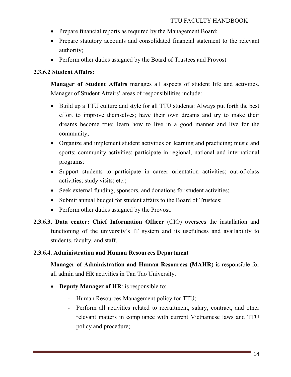- Prepare financial reports as required by the Management Board;
- Prepare statutory accounts and consolidated financial statement to the relevant authority;
- Perform other duties assigned by the Board of Trustees and Provost

# **2.3.6.2 Student Affairs:**

**Manager of Student Affairs** manages all aspects of student life and activities. Manager of Student Affairs' areas of responsibilities include:

- Build up a TTU culture and style for all TTU students: Always put forth the best effort to improve themselves; have their own dreams and try to make their dreams become true; learn how to live in a good manner and live for the community;
- Organize and implement student activities on learning and practicing; music and sports; community activities; participate in regional, national and international programs;
- Support students to participate in career orientation activities; out-of-class activities; study visits; etc.;
- Seek external funding, sponsors, and donations for student activities;
- Submit annual budget for student affairs to the Board of Trustees;
- Perform other duties assigned by the Provost.
- **2.3.6.3 . Data center: Chief Information Officer** (CIO) oversees the installation and functioning of the university's IT system and its usefulness and availability to students, faculty, and staff.

## **2.3.6.4. Administration and Human Resources Department**

**Manager of Administration and Human Resources (MAHR**) is responsible for all admin and HR activities in Tan Tao University.

- **Deputy Manager of HR**: is responsible to:
	- Human Resources Management policy for TTU;
	- Perform all activities related to recruitment, salary, contract, and other relevant matters in compliance with current Vietnamese laws and TTU policy and procedure;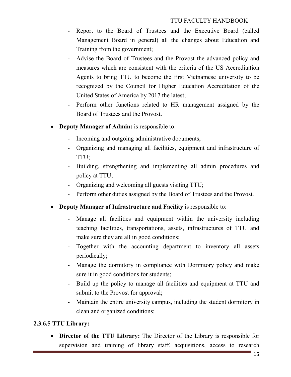- Report to the Board of Trustees and the Executive Board (called Management Board in general) all the changes about Education and Training from the government;
- Advise the Board of Trustees and the Provost the advanced policy and measures which are consistent with the criteria of the US Accreditation Agents to bring TTU to become the first Vietnamese university to be recognized by the Council for Higher Education Accreditation of the United States of America by 2017 the latest;
- Perform other functions related to HR management assigned by the Board of Trustees and the Provost.
- **Deputy Manager of Admin:** is responsible to:
	- Incoming and outgoing administrative documents;
	- Organizing and managing all facilities, equipment and infrastructure of TTU;
	- Building, strengthening and implementing all admin procedures and policy at TTU;
	- Organizing and welcoming all guests visiting TTU;
	- Perform other duties assigned by the Board of Trustees and the Provost.
- **Deputy Manager of Infrastructure and Facility** is responsible to:
	- Manage all facilities and equipment within the university including teaching facilities, transportations, assets, infrastructures of TTU and make sure they are all in good conditions;
	- Together with the accounting department to inventory all assets periodically;
	- Manage the dormitory in compliance with Dormitory policy and make sure it in good conditions for students;
	- Build up the policy to manage all facilities and equipment at TTU and submit to the Provost for approval;
	- Maintain the entire university campus, including the student dormitory in clean and organized conditions;

## **2.3.6.5 TTU Library:**

• **Director of the TTU Library:** The Director of the Library is responsible for supervision and training of library staff, acquisitions, access to research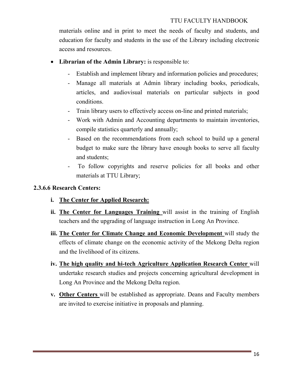materials online and in print to meet the needs of faculty and students, and education for faculty and students in the use of the Library including electronic access and resources.

- **Librarian of the Admin Library:** is responsible to:
	- Establish and implement library and information policies and procedures;
	- Manage all materials at Admin library including books, periodicals, articles, and audiovisual materials on particular subjects in good conditions.
	- Train library users to effectively access on-line and printed materials;
	- Work with Admin and Accounting departments to maintain inventories, compile statistics quarterly and annually;
	- Based on the recommendations from each school to build up a general budget to make sure the library have enough books to serve all faculty and students;
	- To follow copyrights and reserve policies for all books and other materials at TTU Library;

# **2.3.6.6 Research Centers:**

- **i. The Center for Applied Research:**
- **ii. The Center for Languages Training** will assist in the training of English teachers and the upgrading of language instruction in Long An Province.
- **iii. The Center for Climate Change and Economic Development** will study the effects of climate change on the economic activity of the Mekong Delta region and the livelihood of its citizens.
- **iv. The high quality and hi-tech Agriculture Application Research Center** will undertake research studies and projects concerning agricultural development in Long An Province and the Mekong Delta region.
- **v. Other Centers** will be established as appropriate. Deans and Faculty members are invited to exercise initiative in proposals and planning.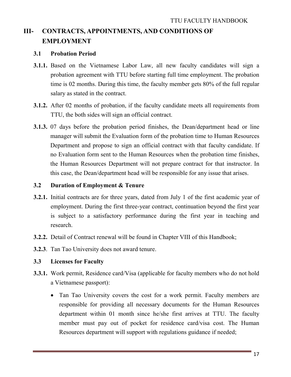# **III- CONTRACTS, APPOINTMENTS, AND CONDITIONS OF EMPLOYMENT**

#### **3.1 Probation Period**

- **3.1.1.** Based on the Vietnamese Labor Law, all new faculty candidates will sign a probation agreement with TTU before starting full time employment. The probation time is 02 months. During this time, the faculty member gets 80% of the full regular salary as stated in the contract.
- **3.1.2.** After 02 months of probation, if the faculty candidate meets all requirements from TTU, the both sides will sign an official contract.
- **3.1.3.** 07 days before the probation period finishes, the Dean/department head or line manager will submit the Evaluation form of the probation time to Human Resources Department and propose to sign an official contract with that faculty candidate. If no Evaluation form sent to the Human Resources when the probation time finishes, the Human Resources Department will not prepare contract for that instructor. In this case, the Dean/department head will be responsible for any issue that arises.

#### **3.2 Duration of Employment & Tenure**

- **3.2.1.** Initial contracts are for three years, dated from July 1 of the first academic year of employment. During the first three-year contract, continuation beyond the first year is subject to a satisfactory performance during the first year in teaching and research.
- **3.2.2.** Detail of Contract renewal will be found in Chapter VIII of this Handbook;
- **3.2.3**. Tan Tao University does not award tenure.

#### **3.3 Licenses for Faculty**

- **3.3.1.** Work permit, Residence card/Visa (applicable for faculty members who do not hold a Vietnamese passport):
	- Tan Tao University covers the cost for a work permit. Faculty members are responsible for providing all necessary documents for the Human Resources department within 01 month since he/she first arrives at TTU. The faculty member must pay out of pocket for residence card/visa cost. The Human Resources department will support with regulations guidance if needed;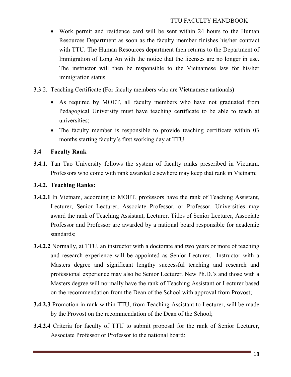- Work permit and residence card will be sent within 24 hours to the Human Resources Department as soon as the faculty member finishes his/her contract with TTU. The Human Resources department then returns to the Department of Immigration of Long An with the notice that the licenses are no longer in use. The instructor will then be responsible to the Vietnamese law for his/her immigration status.
- 3.3.2. Teaching Certificate (For faculty members who are Vietnamese nationals)
	- As required by MOET, all faculty members who have not graduated from Pedagogical University must have teaching certificate to be able to teach at universities;
	- The faculty member is responsible to provide teaching certificate within 03 months starting faculty's first working day at TTU.

## **3.4 Faculty Rank**

**3.4.1.** Tan Tao University follows the system of faculty ranks prescribed in Vietnam. Professors who come with rank awarded elsewhere may keep that rank in Vietnam;

## **3.4.2. Teaching Ranks:**

- **3.4.2.1** In Vietnam, according to MOET, professors have the rank of Teaching Assistant, Lecturer, Senior Lecturer, Associate Professor, or Professor. Universities may award the rank of Teaching Assistant, Lecturer. Titles of Senior Lecturer, Associate Professor and Professor are awarded by a national board responsible for academic standards;
- **3.4.2.2** Normally, at TTU, an instructor with a doctorate and two years or more of teaching and research experience will be appointed as Senior Lecturer. Instructor with a Masters degree and significant lengthy successful teaching and research and professional experience may also be Senior Lecturer. New Ph.D.'s and those with a Masters degree will normally have the rank of Teaching Assistant or Lecturer based on the recommendation from the Dean of the School with approval from Provost;
- **3.4.2.3** Promotion in rank within TTU, from Teaching Assistant to Lecturer, will be made by the Provost on the recommendation of the Dean of the School;
- **3.4.2.4** Criteria for faculty of TTU to submit proposal for the rank of Senior Lecturer, Associate Professor or Professor to the national board: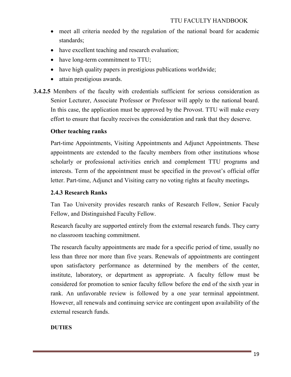- meet all criteria needed by the regulation of the national board for academic standards;
- have excellent teaching and research evaluation;
- have long-term commitment to TTU;
- have high quality papers in prestigious publications worldwide;
- attain prestigious awards.
- **3.4.2.5** Members of the faculty with credentials sufficient for serious consideration as Senior Lecturer, Associate Professor or Professor will apply to the national board. In this case, the application must be approved by the Provost. TTU will make every effort to ensure that faculty receives the consideration and rank that they deserve.

## **Other teaching ranks**

Part-time Appointments, Visiting Appointments and Adjunct Appointments. These appointments are extended to the faculty members from other institutions whose scholarly or professional activities enrich and complement TTU programs and interests. Term of the appointment must be specified in the provost's official offer letter. Part-time, Adjunct and Visiting carry no voting rights at faculty meetings**.**

#### **2.4.3 Research Ranks**

Tan Tao University provides research ranks of Research Fellow, Senior Faculy Fellow, and Distinguished Faculty Fellow.

Research faculty are supported entirely from the external research funds. They carry no classroom teaching commitment.

The research faculty appointments are made for a specific period of time, usually no less than three nor more than five years. Renewals of appointments are contingent upon satisfactory performance as determined by the members of the center, institute, laboratory, or department as appropriate. A faculty fellow must be considered for promotion to senior faculty fellow before the end of the sixth year in rank. An unfavorable review is followed by a one year terminal appointment. However, all renewals and continuing service are contingent upon availability of the external research funds.

#### **DUTIES**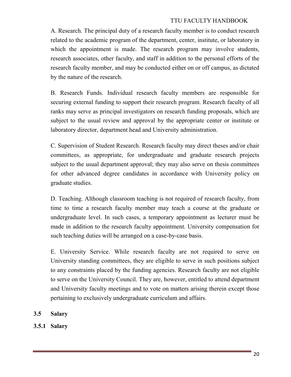A. Research. The principal duty of a research faculty member is to conduct research related to the academic program of the department, center, institute, or laboratory in which the appointment is made. The research program may involve students, research associates, other faculty, and staff in addition to the personal efforts of the research faculty member, and may be conducted either on or off campus, as dictated by the nature of the research.

B. Research Funds. Individual research faculty members are responsible for securing external funding to support their research program. Research faculty of all ranks may serve as principal investigators on research funding proposals, which are subject to the usual review and approval by the appropriate center or institute or laboratory director, department head and University administration.

C. Supervision of Student Research. Research faculty may direct theses and/or chair committees, as appropriate, for undergraduate and graduate research projects subject to the usual department approval; they may also serve on thesis committees for other advanced degree candidates in accordance with University policy on graduate studies.

D. Teaching. Although classroom teaching is not required of research faculty, from time to time a research faculty member may teach a course at the graduate or undergraduate level. In such cases, a temporary appointment as lecturer must be made in addition to the research faculty appointment. University compensation for such teaching duties will be arranged on a case-by-case basis.

E. University Service. While research faculty are not required to serve on University standing committees, they are eligible to serve in such positions subject to any constraints placed by the funding agencies. Research faculty are not eligible to serve on the University Council. They are, however, entitled to attend department and University faculty meetings and to vote on matters arising therein except those pertaining to exclusively undergraduate curriculum and affairs.

- **3.5 Salary**
- **3.5.1 Salary**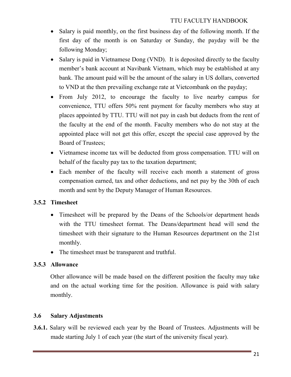- Salary is paid monthly, on the first business day of the following month. If the first day of the month is on Saturday or Sunday, the payday will be the following Monday;
- Salary is paid in Vietnamese Dong (VND). It is deposited directly to the faculty member's bank account at Navibank Vietnam, which may be established at any bank. The amount paid will be the amount of the salary in US dollars, converted to VND at the then prevailing exchange rate at Vietcombank on the payday;
- From July 2012, to encourage the faculty to live nearby campus for convenience, TTU offers 50% rent payment for faculty members who stay at places appointed by TTU. TTU will not pay in cash but deducts from the rent of the faculty at the end of the month. Faculty members who do not stay at the appointed place will not get this offer, except the special case approved by the Board of Trustees;
- Vietnamese income tax will be deducted from gross compensation. TTU will on behalf of the faculty pay tax to the taxation department;
- Each member of the faculty will receive each month a statement of gross compensation earned, tax and other deductions, and net pay by the 30th of each month and sent by the Deputy Manager of Human Resources.

# **3.5.2 Timesheet**

- Timesheet will be prepared by the Deans of the Schools/or department heads with the TTU timesheet format. The Deans/department head will send the timesheet with their signature to the Human Resources department on the 21st monthly.
- The timesheet must be transparent and truthful.

## **3.5.3 Allowance**

Other allowance will be made based on the different position the faculty may take and on the actual working time for the position. Allowance is paid with salary monthly.

## **3.6 Salary Adjustments**

**3.6.1.** Salary will be reviewed each year by the Board of Trustees. Adjustments will be made starting July 1 of each year (the start of the university fiscal year).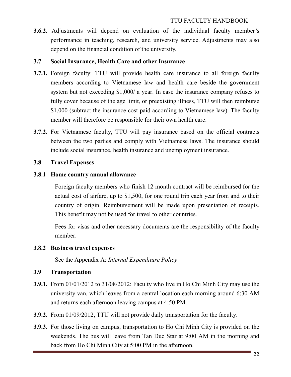**3.6.2.** Adjustments will depend on evaluation of the individual faculty member's performance in teaching, research, and university service. Adjustments may also depend on the financial condition of the university.

#### **3.7 Social Insurance, Health Care and other Insurance**

- **3.7.1.** Foreign faculty: TTU will provide health care insurance to all foreign faculty members according to Vietnamese law and health care beside the government system but not exceeding \$1,000/ a year. In case the insurance company refuses to fully cover because of the age limit, or preexisting illness, TTU will then reimburse \$1,000 (subtract the insurance cost paid according to Vietnamese law). The faculty member will therefore be responsible for their own health care.
- **3.7.2.** For Vietnamese faculty, TTU will pay insurance based on the official contracts between the two parties and comply with Vietnamese laws. The insurance should include social insurance, health insurance and unemployment insurance.

#### **3.8 Travel Expenses**

#### **3.8.1 Home country annual allowance**

Foreign faculty members who finish 12 month contract will be reimbursed for the actual cost of airfare, up to \$1,500, for one round trip each year from and to their country of origin. Reimbursement will be made upon presentation of receipts. This benefit may not be used for travel to other countries.

Fees for visas and other necessary documents are the responsibility of the faculty member.

## **3.8.2 Business travel expenses**

See the Appendix A: *Internal Expenditure Policy*

## **3.9 Transportation**

- **3.9.1.** From 01/01/2012 to 31/08/2012: Faculty who live in Ho Chi Minh City may use the university van, which leaves from a central location each morning around 6:30 AM and returns each afternoon leaving campus at 4:50 PM.
- **3.9.2.** From 01/09/2012, TTU will not provide daily transportation for the faculty.
- **3.9.3.** For those living on campus, transportation to Ho Chi Minh City is provided on the weekends. The bus will leave from Tan Duc Star at 9:00 AM in the morning and back from Ho Chi Minh City at 5:00 PM in the afternoon.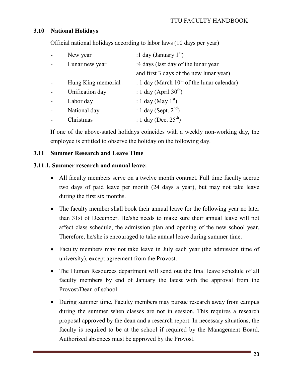# **3.10 National Holidays**

Official national holidays according to labor laws (10 days per year)

| New year           | :1 day (January $1st$ )                         |
|--------------------|-------------------------------------------------|
| Lunar new year     | :4 days (last day of the lunar year             |
|                    | and first 3 days of the new lunar year)         |
| Hung King memorial | : 1 day (March $10^{th}$ of the lunar calendar) |
| Unification day    | : 1 day (April $30th$ )                         |
| Labor day          | : 1 day (May $1st$ )                            |
| National day       | : 1 day (Sept. $2^{nd}$ )                       |
| Christmas          | : 1 day (Dec. $25^{th}$ )                       |

If one of the above-stated holidays coincides with a weekly non-working day, the employee is entitled to observe the holiday on the following day.

## **3.11 Summer Research and Leave Time**

#### **3.11.1. Summer research and annual leave:**

- All faculty members serve on a twelve month contract. Full time faculty accrue two days of paid leave per month (24 days a year), but may not take leave during the first six months.
- The faculty member shall book their annual leave for the following year no later than 31st of December. He/she needs to make sure their annual leave will not affect class schedule, the admission plan and opening of the new school year. Therefore, he/she is encouraged to take annual leave during summer time.
- Faculty members may not take leave in July each year (the admission time of university), except agreement from the Provost.
- The Human Resources department will send out the final leave schedule of all faculty members by end of January the latest with the approval from the Provost/Dean of school.
- During summer time, Faculty members may pursue research away from campus during the summer when classes are not in session. This requires a research proposal approved by the dean and a research report. In necessary situations, the faculty is required to be at the school if required by the Management Board. Authorized absences must be approved by the Provost.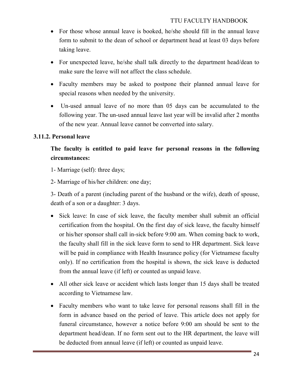- For those whose annual leave is booked, he/she should fill in the annual leave form to submit to the dean of school or department head at least 03 days before taking leave.
- For unexpected leave, he/she shall talk directly to the department head/dean to make sure the leave will not affect the class schedule.
- Faculty members may be asked to postpone their planned annual leave for special reasons when needed by the university.
- Un-used annual leave of no more than 05 days can be accumulated to the following year. The un-used annual leave last year will be invalid after 2 months of the new year. Annual leave cannot be converted into salary.

#### **3.11.2. Personal leave**

# **The faculty is entitled to paid leave for personal reasons in the following circumstances:**

- 1- Marriage (self): three days;
- 2- Marriage of his/her children: one day;

3- Death of a parent (including parent of the husband or the wife), death of spouse, death of a son or a daughter: 3 days.

- Sick leave: In case of sick leave, the faculty member shall submit an official certification from the hospital. On the first day of sick leave, the faculty himself or his/her sponsor shall call in-sick before 9:00 am. When coming back to work, the faculty shall fill in the sick leave form to send to HR department. Sick leave will be paid in compliance with Health Insurance policy (for Vietnamese faculty only). If no certification from the hospital is shown, the sick leave is deducted from the annual leave (if left) or counted as unpaid leave.
- All other sick leave or accident which lasts longer than 15 days shall be treated according to Vietnamese law.
- Faculty members who want to take leave for personal reasons shall fill in the form in advance based on the period of leave. This article does not apply for funeral circumstance, however a notice before 9:00 am should be sent to the department head/dean. If no form sent out to the HR department, the leave will be deducted from annual leave (if left) or counted as unpaid leave.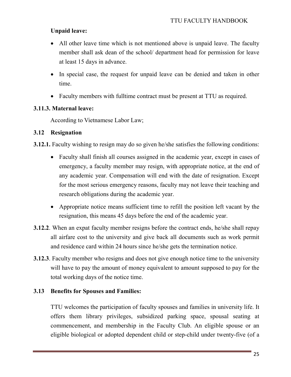## **Unpaid leave:**

- All other leave time which is not mentioned above is unpaid leave. The faculty member shall ask dean of the school/ department head for permission for leave at least 15 days in advance.
- In special case, the request for unpaid leave can be denied and taken in other time.
- Faculty members with fulltime contract must be present at TTU as required.

#### **3.11.3. Maternal leave:**

According to Vietnamese Labor Law;

#### **3.12 Resignation**

**3.12.1.** Faculty wishing to resign may do so given he/she satisfies the following conditions:

- Faculty shall finish all courses assigned in the academic year, except in cases of emergency, a faculty member may resign, with appropriate notice, at the end of any academic year. Compensation will end with the date of resignation. Except for the most serious emergency reasons, faculty may not leave their teaching and research obligations during the academic year.
- Appropriate notice means sufficient time to refill the position left vacant by the resignation, this means 45 days before the end of the academic year.
- **3.12.2**. When an expat faculty member resigns before the contract ends, he/she shall repay all airfare cost to the university and give back all documents such as work permit and residence card within 24 hours since he/she gets the termination notice.
- **3.12.3**. Faculty member who resigns and does not give enough notice time to the university will have to pay the amount of money equivalent to amount supposed to pay for the total working days of the notice time.

#### **3.13 Benefits for Spouses and Families:**

TTU welcomes the participation of faculty spouses and families in university life. It offers them library privileges, subsidized parking space, spousal seating at commencement, and membership in the Faculty Club. An eligible spouse or an eligible biological or adopted dependent child or step-child under twenty-five (of a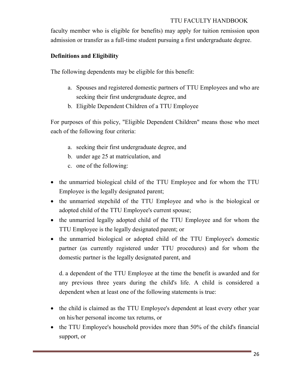faculty member who is eligible for benefits) may apply for tuition remission upon admission or transfer as a full-time student pursuing a first undergraduate degree.

## **Definitions and Eligibility**

The following dependents may be eligible for this benefit:

- a. Spouses and registered domestic partners of TTU Employees and who are seeking their first undergraduate degree, and
- b. Eligible Dependent Children of a TTU Employee

For purposes of this policy, "Eligible Dependent Children" means those who meet each of the following four criteria:

- a. seeking their first undergraduate degree, and
- b. under age 25 at matriculation, and
- c. one of the following:
- the unmarried biological child of the TTU Employee and for whom the TTU Employee is the legally designated parent;
- the unmarried stepchild of the TTU Employee and who is the biological or adopted child of the TTU Employee's current spouse;
- the unmarried legally adopted child of the TTU Employee and for whom the TTU Employee is the legally designated parent; or
- the unmarried biological or adopted child of the TTU Employee's domestic partner (as currently registered under TTU procedures) and for whom the domestic partner is the legally designated parent, and

d. a dependent of the TTU Employee at the time the benefit is awarded and for any previous three years during the child's life. A child is considered a dependent when at least one of the following statements is true:

- the child is claimed as the TTU Employee's dependent at least every other year on his/her personal income tax returns, or
- the TTU Employee's household provides more than 50% of the child's financial support, or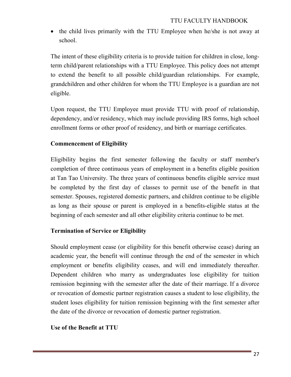• the child lives primarily with the TTU Employee when he/she is not away at school.

The intent of these eligibility criteria is to provide tuition for children in close, longterm child/parent relationships with a TTU Employee. This policy does not attempt to extend the benefit to all possible child/guardian relationships. For example, grandchildren and other children for whom the TTU Employee is a guardian are not eligible.

Upon request, the TTU Employee must provide TTU with proof of relationship, dependency, and/or residency, which may include providing IRS forms, high school enrollment forms or other proof of residency, and birth or marriage certificates.

# **Commencement of Eligibility**

Eligibility begins the first semester following the faculty or staff member's completion of three continuous years of employment in a benefits eligible position at Tan Tao University. The three years of continuous benefits eligible service must be completed by the first day of classes to permit use of the benefit in that semester. Spouses, registered domestic partners, and children continue to be eligible as long as their spouse or parent is employed in a benefits-eligible status at the beginning of each semester and all other eligibility criteria continue to be met.

## **Termination of Service or Eligibility**

Should employment cease (or eligibility for this benefit otherwise cease) during an academic year, the benefit will continue through the end of the semester in which employment or benefits eligibility ceases, and will end immediately thereafter. Dependent children who marry as undergraduates lose eligibility for tuition remission beginning with the semester after the date of their marriage. If a divorce or revocation of domestic partner registration causes a student to lose eligibility, the student loses eligibility for tuition remission beginning with the first semester after the date of the divorce or revocation of domestic partner registration.

## **Use of the Benefit at TTU**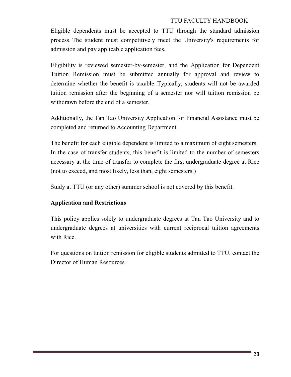Eligible dependents must be accepted to TTU through the standard admission process. The student must competitively meet the University's requirements for admission and pay applicable application fees.

Eligibility is reviewed semester-by-semester, and the Application for Dependent Tuition Remission must be submitted annually for approval and review to determine whether the benefit is taxable. Typically, students will not be awarded tuition remission after the beginning of a semester nor will tuition remission be withdrawn before the end of a semester.

Additionally, the Tan Tao University Application for Financial Assistance must be completed and returned to Accounting Department.

The benefit for each eligible dependent is limited to a maximum of eight semesters. In the case of transfer students, this benefit is limited to the number of semesters necessary at the time of transfer to complete the first undergraduate degree at Rice (not to exceed, and most likely, less than, eight semesters.)

Study at TTU (or any other) summer school is not covered by this benefit.

## **Application and Restrictions**

This policy applies solely to undergraduate degrees at Tan Tao University and to undergraduate degrees at universities with current reciprocal tuition agreements with Rice.

For questions on tuition remission for eligible students admitted to TTU, contact the Director of Human Resources.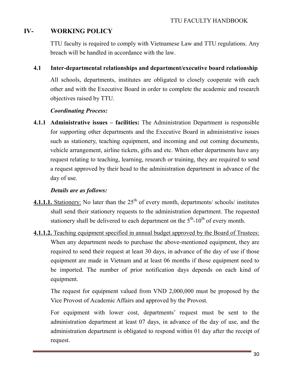# **IV- WORKING POLICY**

TTU faculty is required to comply with Vietnamese Law and TTU regulations. Any breach will be handled in accordance with the law.

#### **4.1 Inter-departmental relationships and department/executive board relationship**

All schools, departments, institutes are obligated to closely cooperate with each other and with the Executive Board in order to complete the academic and research objectives raised by TTU.

#### *Coordinating Process:*

**4.1.1 Administrative issues – facilities:** The Administration Department is responsible for supporting other departments and the Executive Board in administrative issues such as stationery, teaching equipment, and incoming and out coming documents, vehicle arrangement, airline tickets, gifts and etc. When other departments have any request relating to teaching, learning, research or training, they are required to send a request approved by their head to the administration department in advance of the day of use.

#### *Details are as follows:*

- **4.1.1.1.** Stationery: No later than the  $25<sup>th</sup>$  of every month, departments/ schools/ institutes shall send their stationery requests to the administration department. The requested stationery shall be delivered to each department on the  $5<sup>th</sup>$ -10<sup>th</sup> of every month.
- **4.1.1.2.** Teaching equipment specified in annual budget approved by the Board of Trustees: When any department needs to purchase the above-mentioned equipment, they are required to send their request at least 30 days, in advance of the day of use if those equipment are made in Vietnam and at least 06 months if those equipment need to be imported. The number of prior notification days depends on each kind of equipment.

The request for equipment valued from VND 2,000,000 must be proposed by the Vice Provost of Academic Affairs and approved by the Provost.

For equipment with lower cost, departments' request must be sent to the administration department at least 07 days, in advance of the day of use, and the administration department is obligated to respond within 01 day after the receipt of request.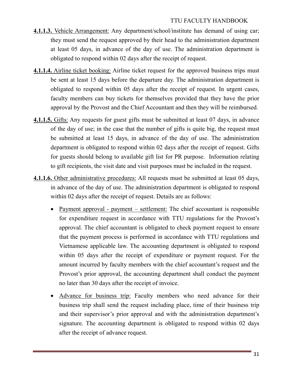- **4.1.1.3.** Vehicle Arrangement: Any department/school/institute has demand of using car; they must send the request approved by their head to the administration department at least 05 days, in advance of the day of use. The administration department is obligated to respond within 02 days after the receipt of request.
- **4.1.1.4.** Airline ticket booking: Airline ticket request for the approved business trips must be sent at least 15 days before the departure day. The administration department is obligated to respond within 05 days after the receipt of request. In urgent cases, faculty members can buy tickets for themselves provided that they have the prior approval by the Provost and the Chief Accountant and then they will be reimbursed.
- **4.1.1.5.** Gifts: Any requests for guest gifts must be submitted at least 07 days, in advance of the day of use; in the case that the number of gifts is quite big, the request must be submitted at least 15 days, in advance of the day of use. The administration department is obligated to respond within 02 days after the receipt of request. Gifts for guests should belong to available gift list for PR purpose. Information relating to gift recipients, the visit date and visit purposes must be included in the request.
- **4.1.1.6.** Other administrative procedures: All requests must be submitted at least 05 days, in advance of the day of use. The administration department is obligated to respond within 02 days after the receipt of request. Details are as follows:
	- Payment approval payment settlement: The chief accountant is responsible for expenditure request in accordance with TTU regulations for the Provost's approval. The chief accountant is obligated to check payment request to ensure that the payment process is performed in accordance with TTU regulations and Vietnamese applicable law. The accounting department is obligated to respond within 05 days after the receipt of expenditure or payment request. For the amount incurred by faculty members with the chief accountant's request and the Provost's prior approval, the accounting department shall conduct the payment no later than 30 days after the receipt of invoice.
	- Advance for business trip: Faculty members who need advance for their business trip shall send the request including place, time of their business trip and their supervisor's prior approval and with the administration department's signature. The accounting department is obligated to respond within 02 days after the receipt of advance request.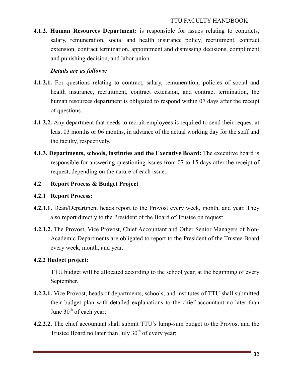**4.1.2. Human Resources Department:** is responsible for issues relating to contracts, salary, remuneration, social and health insurance policy, recruitment, contract extension, contract termination, appointment and dismissing decisions, compliment and punishing decision, and labor union.

#### *Details are as follows:*

- **4.1.2.1.** For questions relating to contract, salary, remuneration, policies of social and health insurance, recruitment, contract extension, and contract termination, the human resources department is obligated to respond within 07 days after the receipt of questions.
- **4.1.2.2.** Any department that needs to recruit employees is required to send their request at least 03 months or 06 months, in advance of the actual working day for the staff and the faculty, respectively.
- **4.1.3. Departments, schools, institutes and the Executive Board:** The executive board is responsible for answering questioning issues from 07 to 15 days after the receipt of request, depending on the nature of each issue.

## **4.2 Report Process & Budget Project**

#### **4.2.1 Report Process:**

- **4.2.1.1.** Dean/Department heads report to the Provost every week, month, and year. They also report directly to the President of the Board of Trustee on request.
- **4.2.1.2.** The Provost, Vice Provost, Chief Accountant and Other Senior Managers of Non-Academic Departments are obligated to report to the President of the Trustee Board every week, month, and year.

## **4.2.2 Budget project:**

TTU budget will be allocated according to the school year, at the beginning of every September.

- **4.2.2.1.** Vice Provost, heads of departments, schools, and institutes of TTU shall submitted their budget plan with detailed explanations to the chief accountant no later than June  $30<sup>th</sup>$  of each year;
- **4.2.2.2.** The chief accountant shall submit TTU's lump-sum budget to the Provost and the Trustee Board no later than July  $30<sup>th</sup>$  of every year;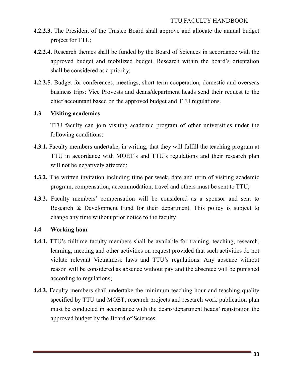- **4.2.2.3.** The President of the Trustee Board shall approve and allocate the annual budget project for TTU;
- **4.2.2.4.** Research themes shall be funded by the Board of Sciences in accordance with the approved budget and mobilized budget. Research within the board's orientation shall be considered as a priority;
- **4.2.2.5.** Budget for conferences, meetings, short term cooperation, domestic and overseas business trips: Vice Provosts and deans/department heads send their request to the chief accountant based on the approved budget and TTU regulations.

#### **4.3 Visiting academics**

TTU faculty can join visiting academic program of other universities under the following conditions:

- **4.3.1.** Faculty members undertake, in writing, that they will fulfill the teaching program at TTU in accordance with MOET's and TTU's regulations and their research plan will not be negatively affected;
- **4.3.2.** The written invitation including time per week, date and term of visiting academic program, compensation, accommodation, travel and others must be sent to TTU;
- **4.3.3.** Faculty members' compensation will be considered as a sponsor and sent to Research & Development Fund for their department. This policy is subject to change any time without prior notice to the faculty.

## **4.4 Working hour**

- **4.4.1.** TTU's fulltime faculty members shall be available for training, teaching, research, learning, meeting and other activities on request provided that such activities do not violate relevant Vietnamese laws and TTU's regulations. Any absence without reason will be considered as absence without pay and the absentee will be punished according to regulations;
- **4.4.2.** Faculty members shall undertake the minimum teaching hour and teaching quality specified by TTU and MOET; research projects and research work publication plan must be conducted in accordance with the deans/department heads' registration the approved budget by the Board of Sciences.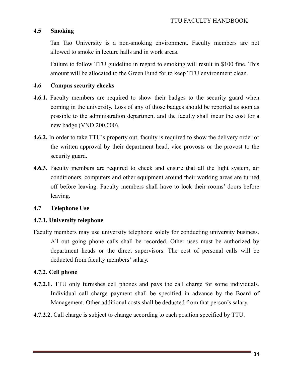#### **4.5 Smoking**

Tan Tao University is a non-smoking environment. Faculty members are not allowed to smoke in lecture halls and in work areas.

Failure to follow TTU guideline in regard to smoking will result in \$100 fine. This amount will be allocated to the Green Fund for to keep TTU environment clean.

#### **4.6 Campus security checks**

- **4.6.1.** Faculty members are required to show their badges to the security guard when coming in the university. Loss of any of those badges should be reported as soon as possible to the administration department and the faculty shall incur the cost for a new badge (VND 200,000).
- **4.6.2.** In order to take TTU's property out, faculty is required to show the delivery order or the written approval by their department head, vice provosts or the provost to the security guard.
- **4.6.3.** Faculty members are required to check and ensure that all the light system, air conditioners, computers and other equipment around their working areas are turned off before leaving. Faculty members shall have to lock their rooms' doors before leaving.

#### **4.7 Telephone Use**

#### **4.7.1. University telephone**

Faculty members may use university telephone solely for conducting university business. All out going phone calls shall be recorded. Other uses must be authorized by department heads or the direct supervisors. The cost of personal calls will be deducted from faculty members' salary.

#### **4.7.2. Cell phone**

- **4.7.2.1. TTU** only furnishes cell phones and pays the call charge for some individuals. Individual call charge payment shall be specified in advance by the Board of Management. Other additional costs shall be deducted from that person's salary.
- **4.7.2.2.** Call charge is subject to change according to each position specified by TTU.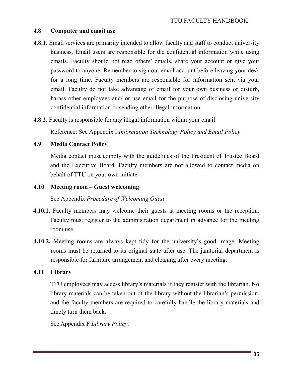#### **4.8 Computer and email use**

- **4.8.1.** Email services are primarily intended to allow faculty and staff to conduct university business. Email users are responsible for the confidential information while using emails. Faculty should not read others' emails, share your account or give your password to anyone. Remember to sign out email account before leaving your desk for a long time. Faculty members are responsible for information sent via your email. Faculty do not take advantage of email for your own business or disturb, harass other employees and/ or use email for the purpose of disclosing university confidential information or sending other illegal information.
- **4.8.2.** Faculty is responsible for any illegal information within your email.

Reference: See Appendix I *Information Technology Policy and Email Policy*

#### **4.9 Media Contact Policy**

Media contact must comply with the guidelines of the President of Trustee Board and the Executive Board. Faculty members are not allowed to contact media on behalf of TTU on your own initiate.

#### **4.10 Meeting room – Guest welcoming**

See Appendix *Procedure of Welcoming Guest*

- **4.10.1.** Faculty members may welcome their guests at meeting rooms or the reception. Faculty must register to the administration department in advance for the meeting room use.
- **4.10.2.** Meeting rooms are always kept tidy for the university's good image. Meeting rooms must be returned to its original state after use. The janitorial department is responsible for furniture arrangement and cleaning after every meeting.

## **4.11 Library**

TTU employees may access library's materials if they register with the librarian. No library materials can be taken out of the library without the librarian's permission, and the faculty members are required to carefully handle the library materials and timely turn them back.

See Appendix F *Library Policy*.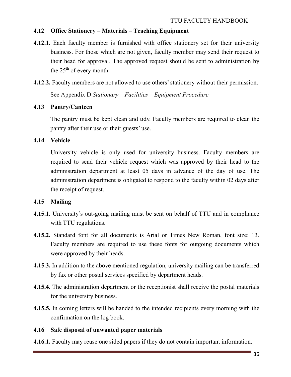## **4.12 Office Stationery – Materials – Teaching Equipment**

- **4.12.1.** Each faculty member is furnished with office stationery set for their university business. For those which are not given, faculty member may send their request to their head for approval. The approved request should be sent to administration by the  $25<sup>th</sup>$  of every month.
- **4.12.2.** Faculty members are not allowed to use others' stationery without their permission.

See Appendix D *Stationary – Facilities – Equipment Procedure*

#### **4.13 Pantry/Canteen**

The pantry must be kept clean and tidy. Faculty members are required to clean the pantry after their use or their guests' use.

#### **4.14 Vehicle**

University vehicle is only used for university business. Faculty members are required to send their vehicle request which was approved by their head to the administration department at least 05 days in advance of the day of use. The administration department is obligated to respond to the faculty within 02 days after the receipt of request.

## **4.15 Mailing**

- **4.15.1.** University's out-going mailing must be sent on behalf of TTU and in compliance with TTU regulations.
- **4.15.2.** Standard font for all documents is Arial or Times New Roman, font size: 13. Faculty members are required to use these fonts for outgoing documents which were approved by their heads.
- **4.15.3.** In addition to the above mentioned regulation, university mailing can be transferred by fax or other postal services specified by department heads.
- **4.15.4.** The administration department or the receptionist shall receive the postal materials for the university business.
- **4.15.5.** In coming letters will be handed to the intended recipients every morning with the confirmation on the log book.

#### **4.16 Safe disposal of unwanted paper materials**

**4.16.1.** Faculty may reuse one sided papers if they do not contain important information.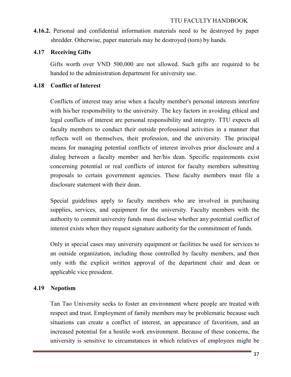**4.16.2.** Personal and confidential information materials need to be destroyed by paper shredder. Otherwise, paper materials may be destroyed (torn) by hands.

## **4.17 Receiving Gifts**

Gifts worth over VND 500,000 are not allowed. Such gifts are required to be handed to the administration department for university use.

# **4.18 Conflict of Interest**

Conflicts of interest may arise when a faculty member's personal interests interfere with his/her responsibility to the university. The key factors in avoiding ethical and legal conflicts of interest are personal responsibility and integrity. TTU expects all faculty members to conduct their outside professional activities in a manner that reflects well on themselves, their profession, and the university. The principal means for managing potential conflicts of interest involves prior disclosure and a dialog between a faculty member and her/his dean. Specific requirements exist concerning potential or real conflicts of interest for faculty members submitting proposals to certain government agencies. These faculty members must file a disclosure statement with their dean.

Special guidelines apply to faculty members who are involved in purchasing supplies, services, and equipment for the university. Faculty members with the authority to commit university funds must disclose whether any potential conflict of interest exists when they request signature authority for the commitment of funds.

Only in special cases may university equipment or facilities be used for services to an outside organization, including those controlled by faculty members, and then only with the explicit written approval of the department chair and dean or applicable vice president.

# **4.19 Nepotism**

Tan Tao University seeks to foster an environment where people are treated with respect and trust. Employment of family members may be problematic because such situations can create a conflict of interest, an appearance of favoritism, and an increased potential for a hostile work environment. Because of these concerns, the university is sensitive to circumstances in which relatives of employees might be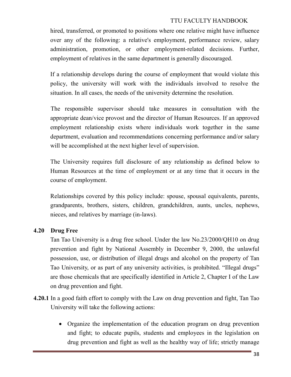hired, transferred, or promoted to positions where one relative might have influence over any of the following: a relative's employment, performance review, salary administration, promotion, or other employment-related decisions. Further, employment of relatives in the same department is generally discouraged.

If a relationship develops during the course of employment that would violate this policy, the university will work with the individuals involved to resolve the situation. In all cases, the needs of the university determine the resolution.

The responsible supervisor should take measures in consultation with the appropriate dean/vice provost and the director of Human Resources. If an approved employment relationship exists where individuals work together in the same department, evaluation and recommendations concerning performance and/or salary will be accomplished at the next higher level of supervision.

The University requires full disclosure of any relationship as defined below to Human Resources at the time of employment or at any time that it occurs in the course of employment.

Relationships covered by this policy include: spouse, spousal equivalents, parents, grandparents, brothers, sisters, children, grandchildren, aunts, uncles, nephews, nieces, and relatives by marriage (in-laws).

#### **4.20 Drug Free**

Tan Tao University is a drug free school. Under the law No.23/2000/QH10 on drug prevention and fight by National Assembly in December 9, 2000, the unlawful possession, use, or distribution of illegal drugs and alcohol on the property of Tan Tao University, or as part of any university activities, is prohibited. "Illegal drugs" are those chemicals that are specifically identified in Article 2, Chapter I of the Law on drug prevention and fight.

- **4.20.1** In a good faith effort to comply with the Law on drug prevention and fight, Tan Tao University will take the following actions:
	- Organize the implementation of the education program on drug prevention and fight; to educate pupils, students and employees in the legislation on drug prevention and fight as well as the healthy way of life; strictly manage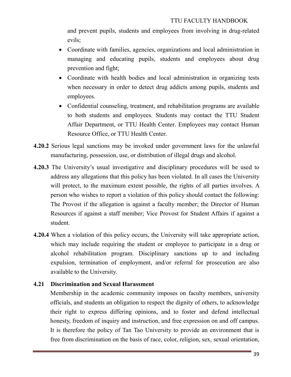and prevent pupils, students and employees from involving in drug-related evils;

- Coordinate with families, agencies, organizations and local administration in managing and educating pupils, students and employees about drug prevention and fight;
- Coordinate with health bodies and local administration in organizing tests when necessary in order to detect drug addicts among pupils, students and employees.
- Confidential counseling, treatment, and rehabilitation programs are available to both students and employees. Students may contact the TTU Student Affair Department, or TTU Health Center. Employees may contact Human Resource Office, or TTU Health Center.
- **4.20.2** Serious legal sanctions may be invoked under government laws for the unlawful manufacturing, possession, use, or distribution of illegal drugs and alcohol.
- **4.20.3** The University's usual investigative and disciplinary procedures will be used to address any allegations that this policy has been violated. In all cases the University will protect, to the maximum extent possible, the rights of all parties involves. A person who wishes to report a violation of this policy should contact the following: The Provost if the allegation is against a faculty member; the Director of Human Resources if against a staff member; Vice Provost for Student Affairs if against a student.
- **4.20.4** When a violation of this policy occurs, the University will take appropriate action, which may include requiring the student or employee to participate in a drug or alcohol rehabilitation program. Disciplinary sanctions up to and including expulsion, termination of employment, and/or referral for prosecution are also available to the University.

## **4.21 Discrimination and Sexual Harassment**

Membership in the academic community imposes on faculty members, university officials, and students an obligation to respect the dignity of others, to acknowledge their right to express differing opinions, and to foster and defend intellectual honesty, freedom of inquiry and instruction, and free expression on and off campus. It is therefore the policy of Tan Tao University to provide an environment that is free from discrimination on the basis of race, color, religion, sex, sexual orientation,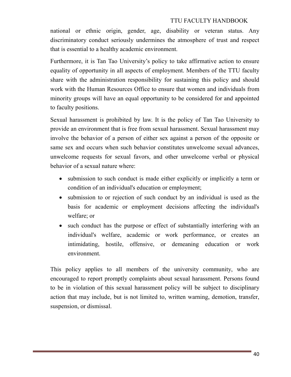national or ethnic origin, gender, age, disability or veteran status. Any discriminatory conduct seriously undermines the atmosphere of trust and respect that is essential to a healthy academic environment.

Furthermore, it is Tan Tao University's policy to take affirmative action to ensure equality of opportunity in all aspects of employment. Members of the TTU faculty share with the administration responsibility for sustaining this policy and should work with the Human Resources Office to ensure that women and individuals from minority groups will have an equal opportunity to be considered for and appointed to faculty positions.

Sexual harassment is prohibited by law. It is the policy of Tan Tao University to provide an environment that is free from sexual harassment. Sexual harassment may involve the behavior of a person of either sex against a person of the opposite or same sex and occurs when such behavior constitutes unwelcome sexual advances, unwelcome requests for sexual favors, and other unwelcome verbal or physical behavior of a sexual nature where:

- submission to such conduct is made either explicitly or implicitly a term or condition of an individual's education or employment;
- submission to or rejection of such conduct by an individual is used as the basis for academic or employment decisions affecting the individual's welfare; or
- such conduct has the purpose or effect of substantially interfering with an individual's welfare, academic or work performance, or creates an intimidating, hostile, offensive, or demeaning education or work environment.

This policy applies to all members of the university community, who are encouraged to report promptly complaints about sexual harassment. Persons found to be in violation of this sexual harassment policy will be subject to disciplinary action that may include, but is not limited to, written warning, demotion, transfer, suspension, or dismissal.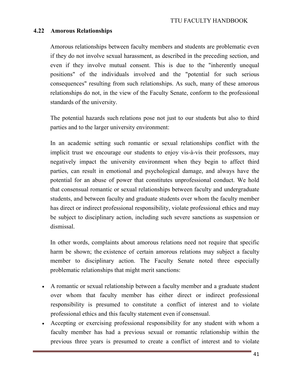#### **4.22 Amorous Relationships**

Amorous relationships between faculty members and students are problematic even if they do not involve sexual harassment, as described in the preceding section, and even if they involve mutual consent. This is due to the "inherently unequal positions" of the individuals involved and the "potential for such serious consequences" resulting from such relationships. As such, many of these amorous relationships do not, in the view of the Faculty Senate, conform to the professional standards of the university.

The potential hazards such relations pose not just to our students but also to third parties and to the larger university environment:

In an academic setting such romantic or sexual relationships conflict with the implicit trust we encourage our students to enjoy vis-à-vis their professors, may negatively impact the university environment when they begin to affect third parties, can result in emotional and psychological damage, and always have the potential for an abuse of power that constitutes unprofessional conduct. We hold that consensual romantic or sexual relationships between faculty and undergraduate students, and between faculty and graduate students over whom the faculty member has direct or indirect professional responsibility, violate professional ethics and may be subject to disciplinary action, including such severe sanctions as suspension or dismissal.

In other words, complaints about amorous relations need not require that specific harm be shown; the existence of certain amorous relations may subject a faculty member to disciplinary action. The Faculty Senate noted three especially problematic relationships that might merit sanctions:

- A romantic or sexual relationship between a faculty member and a graduate student over whom that faculty member has either direct or indirect professional responsibility is presumed to constitute a conflict of interest and to violate professional ethics and this faculty statement even if consensual.
- Accepting or exercising professional responsibility for any student with whom a faculty member has had a previous sexual or romantic relationship within the previous three years is presumed to create a conflict of interest and to violate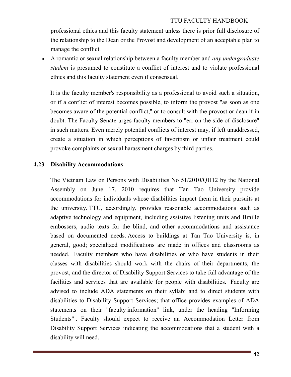professional ethics and this faculty statement unless there is prior full disclosure of the relationship to the Dean or the Provost and development of an acceptable plan to manage the conflict.

• A romantic or sexual relationship between a faculty member and *any undergraduate student* is presumed to constitute a conflict of interest and to violate professional ethics and this faculty statement even if consensual.

It is the faculty member's responsibility as a professional to avoid such a situation, or if a conflict of interest becomes possible, to inform the provost "as soon as one becomes aware of the potential conflict," or to consult with the provost or dean if in doubt. The Faculty Senate urges faculty members to "err on the side of disclosure" in such matters. Even merely potential conflicts of interest may, if left unaddressed, create a situation in which perceptions of favoritism or unfair treatment could provoke complaints or sexual harassment charges by third parties.

#### **4.23 Disability Accommodations**

The Vietnam Law on Persons with Disabilities No 51/2010/QH12 by the National Assembly on June 17, 2010 requires that Tan Tao University provide accommodations for individuals whose disabilities impact them in their pursuits at the university. TTU, accordingly, provides reasonable accommodations such as adaptive technology and equipment, including assistive listening units and Braille embossers, audio texts for the blind, and other accommodations and assistance based on documented needs. Access to buildings at Tan Tao University is, in general, good; specialized modifications are made in offices and classrooms as needed. Faculty members who have disabilities or who have students in their classes with disabilities should work with the chairs of their departments, the provost, and the director of Disability Support Services to take full advantage of the facilities and services that are available for people with disabilities. Faculty are advised to include ADA statements on their syllabi and to direct students with disabilities to Disability Support Services; that office provides examples of ADA statements on their "faculty information" link, under the heading "Informing Students" . Faculty should expect to receive an Accommodation Letter from Disability Support Services indicating the accommodations that a student with a disability will need.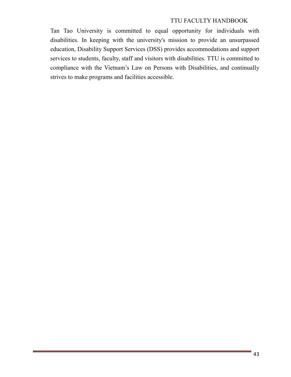Tan Tao University is committed to equal opportunity for individuals with disabilities. In keeping with the university's mission to provide an unsurpassed education, Disability Support Services (DSS) provides accommodations and support services to students, faculty, staff and visitors with disabilities. TTU is committed to compliance with the Vietnam's Law on Persons with Disabilities, and continually strives to make programs and facilities accessible.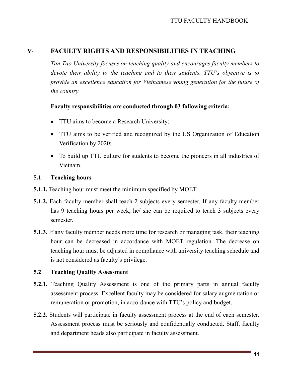# **V- FACULTY RIGHTS AND RESPONSIBILITIES IN TEACHING**

*Tan Tao University focuses on teaching quality and encourages faculty members to devote their ability to the teaching and to their students. TTU's objective is to provide an excellence education for Vietnamese young generation for the future of the country.* 

#### **Faculty responsibilities are conducted through 03 following criteria:**

- TTU aims to become a Research University;
- TTU aims to be verified and recognized by the US Organization of Education Verification by 2020;
- To build up TTU culture for students to become the pioneers in all industries of Vietnam.

#### **5.1 Teaching hours**

- **5.1.1.** Teaching hour must meet the minimum specified by MOET.
- **5.1.2.** Each faculty member shall teach 2 subjects every semester. If any faculty member has 9 teaching hours per week, he/ she can be required to teach 3 subjects every semester.
- **5.1.3.** If any faculty member needs more time for research or managing task, their teaching hour can be decreased in accordance with MOET regulation. The decrease on teaching hour must be adjusted in compliance with university teaching schedule and is not considered as faculty's privilege.

#### **5.2 Teaching Quality Assessment**

- **5.2.1.** Teaching Quality Assessment is one of the primary parts in annual faculty assessment process. Excellent faculty may be considered for salary augmentation or remuneration or promotion, in accordance with TTU's policy and budget.
- **5.2.2.** Students will participate in faculty assessment process at the end of each semester. Assessment process must be seriously and confidentially conducted. Staff, faculty and department heads also participate in faculty assessment.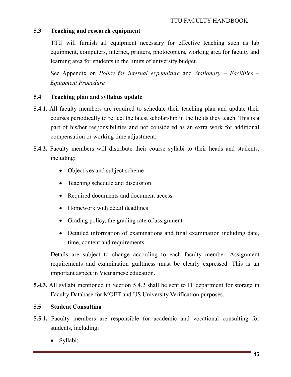# **5.3 Teaching and research equipment**

TTU will furnish all equipment necessary for effective teaching such as lab equipment, computers, internet, printers, photocopiers, working area for faculty and learning area for students in the limits of university budget.

See Appendix on *Policy for internal expenditure* and *Stationary – Facilities – Equipment Procedure*

#### **5.4 Teaching plan and syllabus update**

- **5.4.1.** All faculty members are required to schedule their teaching plan and update their courses periodically to reflect the latest scholarship in the fields they teach. This is a part of his/her responsibilities and not considered as an extra work for additional compensation or working time adjustment.
- **5.4.2.** Faculty members will distribute their course syllabi to their heads and students, including:
	- Objectives and subject scheme
	- Teaching schedule and discussion
	- Required documents and document access
	- Homework with detail deadlines
	- Grading policy, the grading rate of assignment
	- Detailed information of examinations and final examination including date, time, content and requirements.

Details are subject to change according to each faculty member. Assignment requirements and examination guiltiness must be clearly expressed. This is an important aspect in Vietnamese education.

**5.4.3.** All syllabi mentioned in Section 5.4.2 shall be sent to IT department for storage in Faculty Database for MOET and US University Verification purposes.

#### **5.5 Student Consulting**

- **5.5.1.** Faculty members are responsible for academic and vocational consulting for students, including:
	- Syllabi;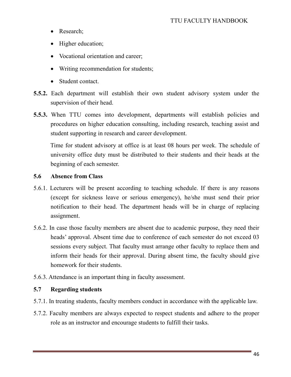- Research;
- Higher education;
- Vocational orientation and career;
- Writing recommendation for students;
- Student contact.
- **5.5.2.** Each department will establish their own student advisory system under the supervision of their head.
- **5.5.3.** When TTU comes into development, departments will establish policies and procedures on higher education consulting, including research, teaching assist and student supporting in research and career development.

Time for student advisory at office is at least 08 hours per week. The schedule of university office duty must be distributed to their students and their heads at the beginning of each semester.

#### **5.6 Absence from Class**

- 5.6.1. Lecturers will be present according to teaching schedule. If there is any reasons (except for sickness leave or serious emergency), he/she must send their prior notification to their head. The department heads will be in charge of replacing assignment.
- 5.6.2. In case those faculty members are absent due to academic purpose, they need their heads' approval. Absent time due to conference of each semester do not exceed 03 sessions every subject. That faculty must arrange other faculty to replace them and inform their heads for their approval. During absent time, the faculty should give homework for their students.
- 5.6.3. Attendance is an important thing in faculty assessment.

## **5.7 Regarding students**

- 5.7.1. In treating students, faculty members conduct in accordance with the applicable law.
- 5.7.2. Faculty members are always expected to respect students and adhere to the proper role as an instructor and encourage students to fulfill their tasks.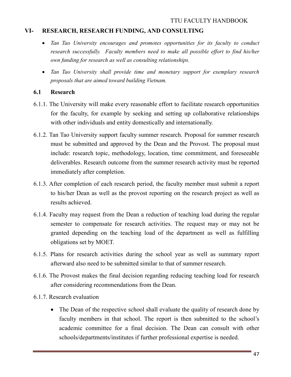## **VI- RESEARCH, RESEARCH FUNDING, AND CONSULTING**

- *Tan Tao University encourages and promotes opportunities for its faculty to conduct research successfully. Faculty members need to make all possible effort to find his/her own funding for research as well as consulting relationships.*
- *Tan Tao University shall provide time and monetary support for exemplary research proposals that are aimed toward building Vietnam.*

## **6.1 Research**

- 6.1.1. The University will make every reasonable effort to facilitate research opportunities for the faculty, for example by seeking and setting up collaborative relationships with other individuals and entity domestically and internationally.
- 6.1.2. Tan Tao University support faculty summer research. Proposal for summer research must be submitted and approved by the Dean and the Provost. The proposal must include: research topic, methodology, location, time commitment, and foreseeable deliverables. Research outcome from the summer research activity must be reported immediately after completion.
- 6.1.3. After completion of each research period, the faculty member must submit a report to his/her Dean as well as the provost reporting on the research project as well as results achieved.
- 6.1.4. Faculty may request from the Dean a reduction of teaching load during the regular semester to compensate for research activities. The request may or may not be granted depending on the teaching load of the department as well as fulfilling obligations set by MOET.
- 6.1.5. Plans for research activities during the school year as well as summary report afterward also need to be submitted similar to that of summer research.
- 6.1.6. The Provost makes the final decision regarding reducing teaching load for research after considering recommendations from the Dean.
- 6.1.7. Research evaluation
	- The Dean of the respective school shall evaluate the quality of research done by faculty members in that school. The report is then submitted to the school's academic committee for a final decision. The Dean can consult with other schools/departments/institutes if further professional expertise is needed.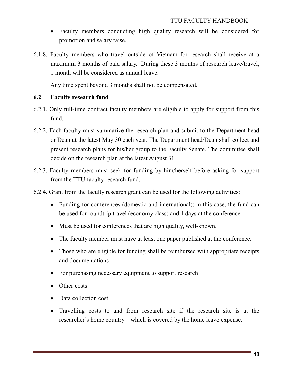- Faculty members conducting high quality research will be considered for promotion and salary raise.
- 6.1.8. Faculty members who travel outside of Vietnam for research shall receive at a maximum 3 months of paid salary. During these 3 months of research leave/travel, 1 month will be considered as annual leave.

Any time spent beyond 3 months shall not be compensated.

## **6.2 Faculty research fund**

- 6.2.1. Only full-time contract faculty members are eligible to apply for support from this fund.
- 6.2.2. Each faculty must summarize the research plan and submit to the Department head or Dean at the latest May 30 each year. The Department head/Dean shall collect and present research plans for his/her group to the Faculty Senate. The committee shall decide on the research plan at the latest August 31.
- 6.2.3. Faculty members must seek for funding by him/herself before asking for support from the TTU faculty research fund.
- 6.2.4. Grant from the faculty research grant can be used for the following activities:
	- Funding for conferences (domestic and international); in this case, the fund can be used for roundtrip travel (economy class) and 4 days at the conference.
	- Must be used for conferences that are high quality, well-known.
	- The faculty member must have at least one paper published at the conference.
	- Those who are eligible for funding shall be reimbursed with appropriate receipts and documentations
	- For purchasing necessary equipment to support research
	- Other costs
	- Data collection cost
	- Travelling costs to and from research site if the research site is at the researcher's home country – which is covered by the home leave expense.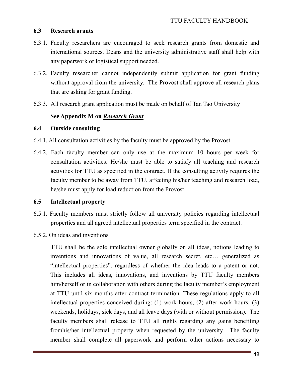#### **6.3 Research grants**

- 6.3.1. Faculty researchers are encouraged to seek research grants from domestic and international sources. Deans and the university administrative staff shall help with any paperwork or logistical support needed.
- 6.3.2. Faculty researcher cannot independently submit application for grant funding without approval from the university. The Provost shall approve all research plans that are asking for grant funding.
- 6.3.3. All research grant application must be made on behalf of Tan Tao University

## **See Appendix M on** *Research Grant*

#### **6.4 Outside consulting**

- 6.4.1. All consultation activities by the faculty must be approved by the Provost.
- 6.4.2. Each faculty member can only use at the maximum 10 hours per week for consultation activities. He/she must be able to satisfy all teaching and research activities for TTU as specified in the contract. If the consulting activity requires the faculty member to be away from TTU, affecting his/her teaching and research load, he/she must apply for load reduction from the Provost.

## **6.5 Intellectual property**

- 6.5.1. Faculty members must strictly follow all university policies regarding intellectual properties and all agreed intellectual properties term specified in the contract.
- 6.5.2. On ideas and inventions

TTU shall be the sole intellectual owner globally on all ideas, notions leading to inventions and innovations of value, all research secret, etc… generalized as "intellectual properties", regardless of whether the idea leads to a patent or not. This includes all ideas, innovations, and inventions by TTU faculty members him/herself or in collaboration with others during the faculty member's employment at TTU until six months after contract termination. These regulations apply to all intellectual properties conceived during: (1) work hours, (2) after work hours, (3) weekends, holidays, sick days, and all leave days (with or without permission). The faculty members shall release to TTU all rights regarding any gains benefiting fromhis/her intellectual property when requested by the university. The faculty member shall complete all paperwork and perform other actions necessary to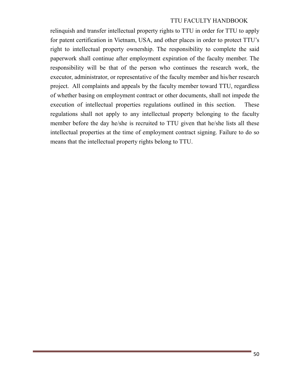relinquish and transfer intellectual property rights to TTU in order for TTU to apply for patent certification in Vietnam, USA, and other places in order to protect TTU's right to intellectual property ownership. The responsibility to complete the said paperwork shall continue after employment expiration of the faculty member. The responsibility will be that of the person who continues the research work, the executor, administrator, or representative of the faculty member and his/her research project. All complaints and appeals by the faculty member toward TTU, regardless of whether basing on employment contract or other documents, shall not impede the execution of intellectual properties regulations outlined in this section. These regulations shall not apply to any intellectual property belonging to the faculty member before the day he/she is recruited to TTU given that he/she lists all these intellectual properties at the time of employment contract signing. Failure to do so means that the intellectual property rights belong to TTU.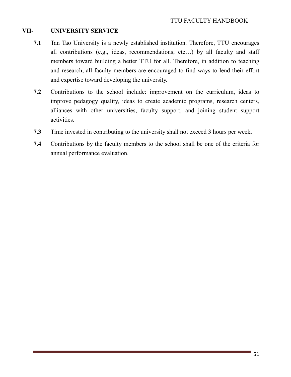# **VII- UNIVERSITY SERVICE**

- **7.1** Tan Tao University is a newly established institution. Therefore, TTU encourages all contributions (e.g., ideas, recommendations, etc…) by all faculty and staff members toward building a better TTU for all. Therefore, in addition to teaching and research, all faculty members are encouraged to find ways to lend their effort and expertise toward developing the university.
- **7.2** Contributions to the school include: improvement on the curriculum, ideas to improve pedagogy quality, ideas to create academic programs, research centers, alliances with other universities, faculty support, and joining student support activities.
- **7.3** Time invested in contributing to the university shall not exceed 3 hours per week.
- **7.4** Contributions by the faculty members to the school shall be one of the criteria for annual performance evaluation.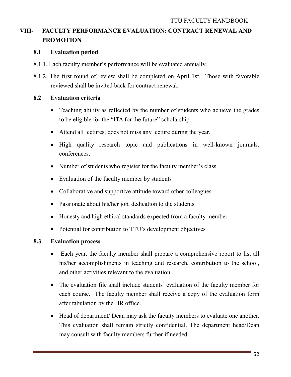# **VIII- FACULTY PERFORMANCE EVALUATION: CONTRACT RENEWAL AND PROMOTION**

## **8.1 Evaluation period**

- 8.1.1. Each faculty member's performance will be evaluated annually.
- 8.1.2. The first round of review shall be completed on April 1st. Those with favorable reviewed shall be invited back for contract renewal.

# **8.2 Evaluation criteria**

- Teaching ability as reflected by the number of students who achieve the grades to be eligible for the "ITA for the future" scholarship.
- Attend all lectures, does not miss any lecture during the year.
- High quality research topic and publications in well-known journals, conferences.
- Number of students who register for the faculty member's class
- Evaluation of the faculty member by students
- Collaborative and supportive attitude toward other colleagues.
- Passionate about his/her job, dedication to the students
- Honesty and high ethical standards expected from a faculty member
- Potential for contribution to TTU's development objectives

# **8.3 Evaluation process**

- Each year, the faculty member shall prepare a comprehensive report to list all his/her accomplishments in teaching and research, contribution to the school, and other activities relevant to the evaluation.
- The evaluation file shall include students' evaluation of the faculty member for each course. The faculty member shall receive a copy of the evaluation form after tabulation by the HR office.
- Head of department/ Dean may ask the faculty members to evaluate one another. This evaluation shall remain strictly confidential. The department head/Dean may consult with faculty members further if needed.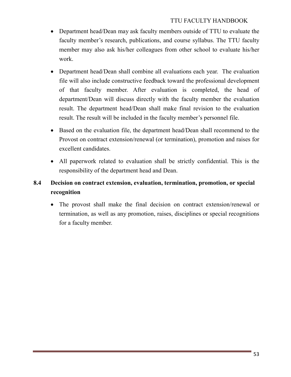- Department head/Dean may ask faculty members outside of TTU to evaluate the faculty member's research, publications, and course syllabus. The TTU faculty member may also ask his/her colleagues from other school to evaluate his/her work.
- Department head/Dean shall combine all evaluations each year. The evaluation file will also include constructive feedback toward the professional development of that faculty member. After evaluation is completed, the head of department/Dean will discuss directly with the faculty member the evaluation result. The department head/Dean shall make final revision to the evaluation result. The result will be included in the faculty member's personnel file.
- Based on the evaluation file, the department head/Dean shall recommend to the Provost on contract extension/renewal (or termination), promotion and raises for excellent candidates.
- All paperwork related to evaluation shall be strictly confidential. This is the responsibility of the department head and Dean.

# **8.4 Decision on contract extension, evaluation, termination, promotion, or special recognition**

• The provost shall make the final decision on contract extension/renewal or termination, as well as any promotion, raises, disciplines or special recognitions for a faculty member.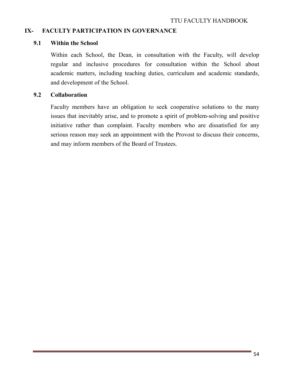#### **IX- FACULTY PARTICIPATION IN GOVERNANCE**

#### **9.1 Within the School**

 Within each School, the Dean, in consultation with the Faculty, will develop regular and inclusive procedures for consultation within the School about academic matters, including teaching duties, curriculum and academic standards, and development of the School.

#### **9.2 Collaboration**

Faculty members have an obligation to seek cooperative solutions to the many issues that inevitably arise, and to promote a spirit of problem-solving and positive initiative rather than complaint. Faculty members who are dissatisfied for any serious reason may seek an appointment with the Provost to discuss their concerns, and may inform members of the Board of Trustees.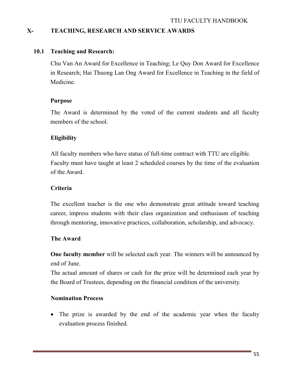## **X- TEACHING, RESEARCH AND SERVICE AWARDS**

#### **10.1 Teaching and Research:**

Chu Van An Award for Excellence in Teaching; Le Quy Don Award for Excellence in Research; Hai Thuong Lan Ong Award for Excellence in Teaching in the field of Medicine.

#### **Purpose**

The Award is determined by the voted of the current students and all faculty members of the school.

## **Eligibility**

All faculty members who have status of full-time contract with TTU are eligible. Faculty must have taught at least 2 scheduled courses by the time of the evaluation of the Award.

#### **Criteria**

The excellent teacher is the one who demonstrate great attitude toward teaching career, impress students with their class organization and enthusiasm of teaching through mentoring, innovative practices, collaboration, scholarship, and advocacy.

#### **The Award**

**One faculty member** will be selected each year. The winners will be announced by end of June.

The actual amount of shares or cash for the prize will be determined each year by the Board of Trustees, depending on the financial condition of the university.

## **Nomination Process**

• The prize is awarded by the end of the academic year when the faculty evaluation process finished.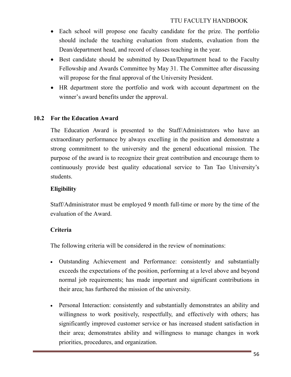- Each school will propose one faculty candidate for the prize. The portfolio should include the teaching evaluation from students, evaluation from the Dean/department head, and record of classes teaching in the year.
- Best candidate should be submitted by Dean/Department head to the Faculty Fellowship and Awards Committee by May 31. The Committee after discussing will propose for the final approval of the University President.
- HR department store the portfolio and work with account department on the winner's award benefits under the approval.

#### **10.2 For the Education Award**

The Education Award is presented to the Staff/Administrators who have an extraordinary performance by always excelling in the position and demonstrate a strong commitment to the university and the general educational mission. The purpose of the award is to recognize their great contribution and encourage them to continuously provide best quality educational service to Tan Tao University's students.

#### **Eligibility**

Staff/Administrator must be employed 9 month full-time or more by the time of the evaluation of the Award.

#### **Criteria**

The following criteria will be considered in the review of nominations:

- Outstanding Achievement and Performance: consistently and substantially exceeds the expectations of the position, performing at a level above and beyond normal job requirements; has made important and significant contributions in their area; has furthered the mission of the university.
- Personal Interaction: consistently and substantially demonstrates an ability and willingness to work positively, respectfully, and effectively with others; has significantly improved customer service or has increased student satisfaction in their area; demonstrates ability and willingness to manage changes in work priorities, procedures, and organization.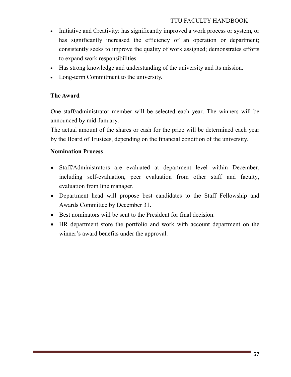- Initiative and Creativity: has significantly improved a work process or system, or has significantly increased the efficiency of an operation or department; consistently seeks to improve the quality of work assigned; demonstrates efforts to expand work responsibilities.
- Has strong knowledge and understanding of the university and its mission.
- Long-term Commitment to the university.

#### **The Award**

One staff/administrator member will be selected each year. The winners will be announced by mid-January.

The actual amount of the shares or cash for the prize will be determined each year by the Board of Trustees, depending on the financial condition of the university.

#### **Nomination Process**

- Staff/Administrators are evaluated at department level within December, including self-evaluation, peer evaluation from other staff and faculty, evaluation from line manager.
- Department head will propose best candidates to the Staff Fellowship and Awards Committee by December 31.
- Best nominators will be sent to the President for final decision.
- HR department store the portfolio and work with account department on the winner's award benefits under the approval.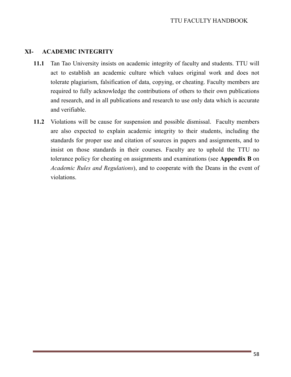#### **XI- ACADEMIC INTEGRITY**

- **11.1** Tan Tao University insists on academic integrity of faculty and students. TTU will act to establish an academic culture which values original work and does not tolerate plagiarism, falsification of data, copying, or cheating. Faculty members are required to fully acknowledge the contributions of others to their own publications and research, and in all publications and research to use only data which is accurate and verifiable.
- **11.2** Violations will be cause for suspension and possible dismissal. Faculty members are also expected to explain academic integrity to their students, including the standards for proper use and citation of sources in papers and assignments, and to insist on those standards in their courses. Faculty are to uphold the TTU no tolerance policy for cheating on assignments and examinations (see **Appendix B** on *Academic Rules and Regulations*), and to cooperate with the Deans in the event of violations.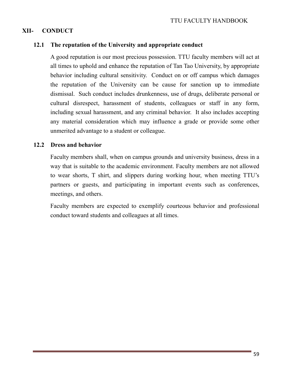# **XII- CONDUCT**

#### **12.1 The reputation of the University and appropriate conduct**

A good reputation is our most precious possession. TTU faculty members will act at all times to uphold and enhance the reputation of Tan Tao University, by appropriate behavior including cultural sensitivity. Conduct on or off campus which damages the reputation of the University can be cause for sanction up to immediate dismissal. Such conduct includes drunkenness, use of drugs, deliberate personal or cultural disrespect, harassment of students, colleagues or staff in any form, including sexual harassment, and any criminal behavior. It also includes accepting any material consideration which may influence a grade or provide some other unmerited advantage to a student or colleague.

#### **12.2 Dress and behavior**

Faculty members shall, when on campus grounds and university business, dress in a way that is suitable to the academic environment. Faculty members are not allowed to wear shorts, T shirt, and slippers during working hour, when meeting TTU's partners or guests, and participating in important events such as conferences, meetings, and others.

Faculty members are expected to exemplify courteous behavior and professional conduct toward students and colleagues at all times.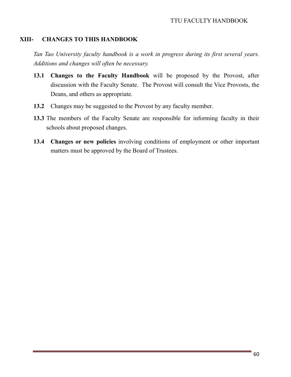#### **XIII- CHANGES TO THIS HANDBOOK**

*Tan Tao University faculty handbook is a work in progress during its first several years. Additions and changes will often be necessary.* 

- **13.1 Changes to the Faculty Handbook** will be proposed by the Provost, after discussion with the Faculty Senate. The Provost will consult the Vice Provosts, the Deans, and others as appropriate.
- **13.2** Changes may be suggested to the Provost by any faculty member.
- **13.3** The members of the Faculty Senate are responsible for informing faculty in their schools about proposed changes.
- **13.4 Changes or new policies** involving conditions of employment or other important matters must be approved by the Board of Trustees.